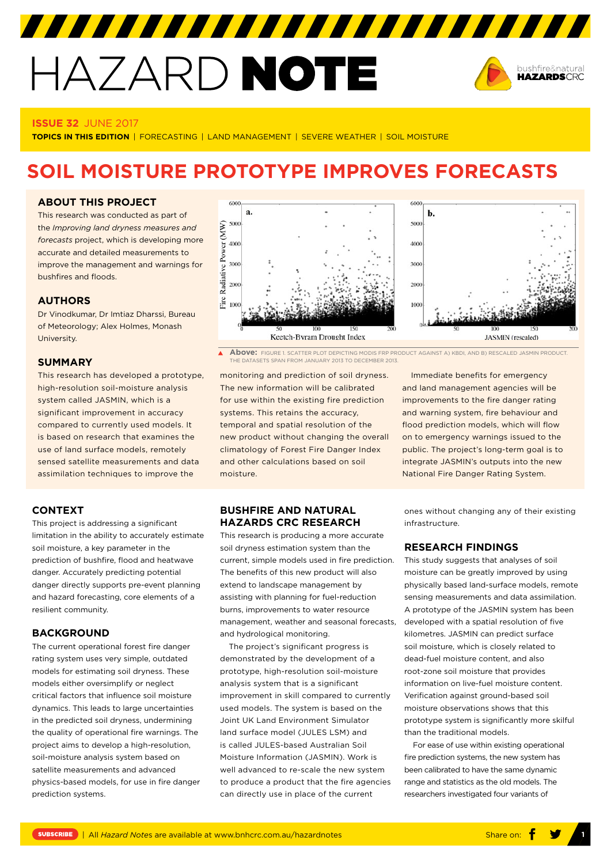# HAZARD NOTE



#### **ISSUE 32** JUNE 2017

**TOPICS IN THIS EDITION** | FORECASTING | LAND MANAGEMENT | SEVERE WEATHER | SOIL MOISTURE

# **SOIL MOISTURE PROTOTYPE IMPROVES FORECASTS**

## **ABOUT THIS PROJECT**

This research was conducted as part of the *[Improving land dryness measures and](http://www.bnhcrc.com.au/research/understanding-mitigating-hazards/259)  [forecasts](http://www.bnhcrc.com.au/research/understanding-mitigating-hazards/259)* project, which is developing more accurate and detailed measurements to improve the management and warnings for bushfires and floods.

# **AUTHORS**

Dr Vinodkumar, Dr Imtiaz Dharssi, Bureau of Meteorology; Alex Holmes, Monash University.

#### **SUMMARY**

This research has developed a prototype, high-resolution soil-moisture analysis system called JASMIN, which is a significant improvement in accuracy compared to currently used models. It is based on research that examines the use of land surface models, remotely sensed satellite measurements and data assimilation techniques to improve the

# **CONTEXT**

This project is addressing a significant limitation in the ability to accurately estimate soil moisture, a key parameter in the prediction of bushfire, flood and heatwave danger. Accurately predicting potential danger directly supports pre-event planning and hazard forecasting, core elements of a resilient community.

### **BACKGROUND**

The current operational forest fire danger rating system uses very simple, outdated models for estimating soil dryness. These models either oversimplify or neglect critical factors that influence soil moisture dynamics. This leads to large uncertainties in the predicted soil dryness, undermining the quality of operational fire warnings. The project aims to develop a high-resolution, soil-moisture analysis system based on satellite measurements and advanced physics-based models, for use in fire danger prediction systems.



 $\blacktriangle$ **Above:** FIGURE 1. SCATTER PLOT DEPICTING MODIS FRP PRODUCT AGAINST A) KBDI, AND B) RESCALED JASMIN PRODUCT. THE DATASETS SPAN FROM JANUARY 2013 TO DECEMBER 2013.

monitoring and prediction of soil dryness. The new information will be calibrated for use within the existing fire prediction systems. This retains the accuracy, temporal and spatial resolution of the new product without changing the overall climatology of Forest Fire Danger Index and other calculations based on soil moisture.

# **BUSHFIRE AND NATURAL HAZARDS CRC RESEARCH**

This research is producing a more accurate soil dryness estimation system than the current, simple models used in fire prediction. The benefits of this new product will also extend to landscape management by assisting with planning for fuel-reduction burns, improvements to water resource management, weather and seasonal forecasts, and hydrological monitoring.

The project's significant progress is demonstrated by the development of a prototype, high-resolution soil-moisture analysis system that is a significant improvement in skill compared to currently used models. The system is based on the Joint UK Land Environment Simulator land surface model (JULES LSM) and is called JULES-based Australian Soil Moisture Information (JASMIN). Work is well advanced to re-scale the new system to produce a product that the fire agencies can directly use in place of the current

Immediate benefits for emergency and land management agencies will be improvements to the fire danger rating and warning system, fire behaviour and flood prediction models, which will flow on to emergency warnings issued to the public. The project's long-term goal is to integrate JASMIN's outputs into the new National Fire Danger Rating System.

ones without changing any of their existing infrastructure.

#### **RESEARCH FINDINGS**

This study suggests that analyses of soil moisture can be greatly improved by using physically based land-surface models, remote sensing measurements and data assimilation. A prototype of the JASMIN system has been developed with a spatial resolution of five kilometres. JASMIN can predict surface soil moisture, which is closely related to dead-fuel moisture content, and also root-zone soil moisture that provides information on live-fuel moisture content. Verification against ground-based soil moisture observations shows that this prototype system is significantly more skilful than the traditional models.

For ease of use within existing operational fire prediction systems, the new system has been calibrated to have the same dynamic range and statistics as the old models. The researchers investigated four variants of